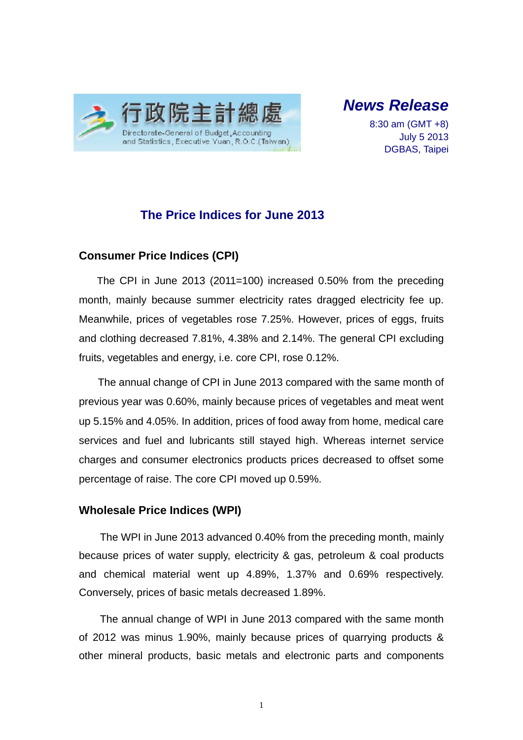

*News Release* 

8:30 am (GMT +8) July 5 2013 DGBAS, Taipei

## **The Price Indices for June 2013**

#### **Consumer Price Indices (CPI)**

The CPI in June 2013 (2011=100) increased 0.50% from the preceding month, mainly because summer electricity rates dragged electricity fee up. Meanwhile, prices of vegetables rose 7.25%. However, prices of eggs, fruits and clothing decreased 7.81%, 4.38% and 2.14%. The general CPI excluding fruits, vegetables and energy, i.e. core CPI, rose 0.12%.

The annual change of CPI in June 2013 compared with the same month of previous year was 0.60%, mainly because prices of vegetables and meat went up 5.15% and 4.05%. In addition, prices of food away from home, medical care services and fuel and lubricants still stayed high. Whereas internet service charges and consumer electronics products prices decreased to offset some percentage of raise. The core CPI moved up 0.59%.

#### **Wholesale Price Indices (WPI)**

The WPI in June 2013 advanced 0.40% from the preceding month, mainly because prices of water supply, electricity & gas, petroleum & coal products and chemical material went up 4.89%, 1.37% and 0.69% respectively. Conversely, prices of basic metals decreased 1.89%.

The annual change of WPI in June 2013 compared with the same month of 2012 was minus 1.90%, mainly because prices of quarrying products & other mineral products, basic metals and electronic parts and components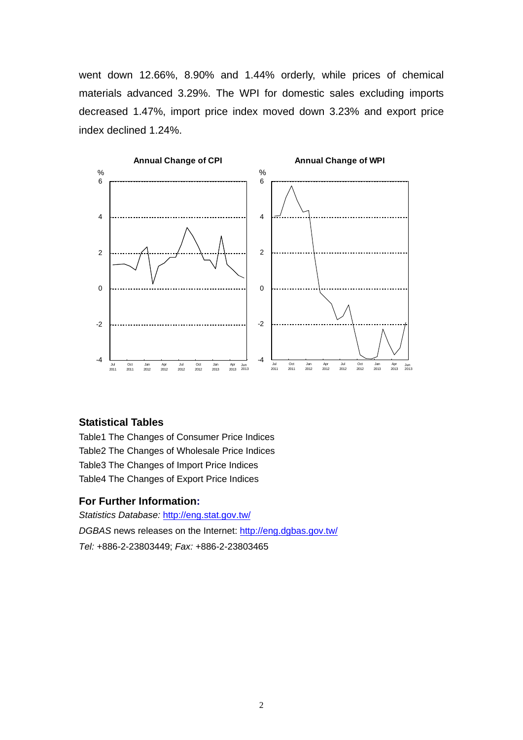went down 12.66%, 8.90% and 1.44% orderly, while prices of chemical materials advanced 3.29%. The WPI for domestic sales excluding imports decreased 1.47%, import price index moved down 3.23% and export price index declined 1.24%.



#### **Statistical Tables**

Table1 The Changes of Consumer Price Indices Table2 The Changes of Wholesale Price Indices Table3 The Changes of Import Price Indices Table4 The Changes of Export Price Indices

#### **For Further Information:**

*Statistics Database:* http://eng.stat.gov.tw/ *DGBAS* news releases on the Internet: http://eng.dgbas.gov.tw/ *Tel:* +886-2-23803449; *Fax:* +886-2-23803465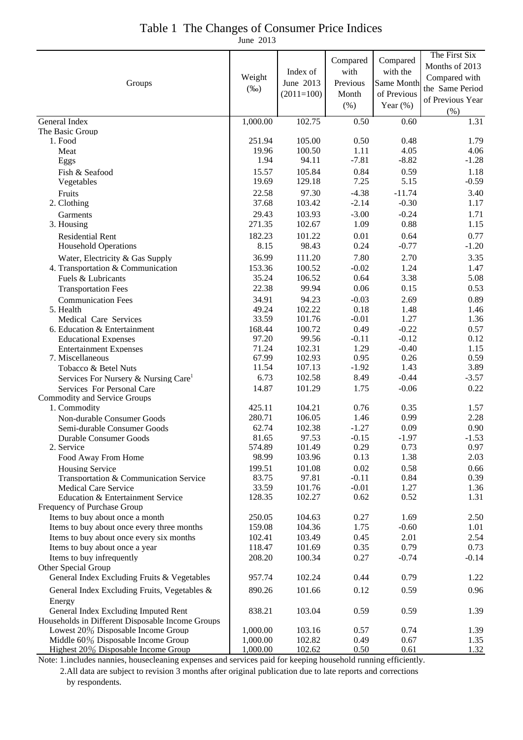| Groups                                                                   | Weight<br>$(\%0)$    | Index of<br>June 2013<br>$(2011=100)$ | Compared<br>with<br>Previous<br>Month<br>(% ) | Compared<br>with the<br>Same Month<br>of Previous<br>Year $(\%)$ | The First Six<br>Months of 2013<br>Compared with<br>the Same Period<br>of Previous Year<br>$(\% )$ |
|--------------------------------------------------------------------------|----------------------|---------------------------------------|-----------------------------------------------|------------------------------------------------------------------|----------------------------------------------------------------------------------------------------|
| General Index                                                            | 1,000.00             | 102.75                                | 0.50                                          | 0.60                                                             | 1.31                                                                                               |
| The Basic Group<br>1. Food                                               | 251.94               | 105.00                                | 0.50                                          | 0.48                                                             |                                                                                                    |
| Meat                                                                     | 19.96                | 100.50                                | 1.11                                          | 4.05                                                             | 1.79<br>4.06                                                                                       |
| Eggs                                                                     | 1.94                 | 94.11                                 | $-7.81$                                       | $-8.82$                                                          | $-1.28$                                                                                            |
| Fish & Seafood                                                           | 15.57                | 105.84                                | 0.84                                          | 0.59                                                             | 1.18                                                                                               |
| Vegetables                                                               | 19.69                | 129.18                                | 7.25                                          | 5.15                                                             | $-0.59$                                                                                            |
| Fruits                                                                   | 22.58                | 97.30                                 | $-4.38$                                       | $-11.74$                                                         | 3.40                                                                                               |
| 2. Clothing                                                              | 37.68                | 103.42                                | $-2.14$                                       | $-0.30$                                                          | 1.17                                                                                               |
| Garments                                                                 | 29.43                | 103.93                                | $-3.00$                                       | $-0.24$                                                          | 1.71                                                                                               |
| 3. Housing                                                               | 271.35               | 102.67                                | 1.09                                          | 0.88                                                             | 1.15                                                                                               |
| <b>Residential Rent</b>                                                  | 182.23<br>8.15       | 101.22<br>98.43                       | 0.01<br>0.24                                  | 0.64<br>$-0.77$                                                  | 0.77<br>$-1.20$                                                                                    |
| <b>Household Operations</b>                                              | 36.99                | 111.20                                | 7.80                                          | 2.70                                                             | 3.35                                                                                               |
| Water, Electricity & Gas Supply<br>4. Transportation & Communication     | 153.36               | 100.52                                | $-0.02$                                       | 1.24                                                             | 1.47                                                                                               |
| Fuels & Lubricants                                                       | 35.24                | 106.52                                | 0.64                                          | 3.38                                                             | 5.08                                                                                               |
| <b>Transportation Fees</b>                                               | 22.38                | 99.94                                 | 0.06                                          | 0.15                                                             | 0.53                                                                                               |
| <b>Communication Fees</b>                                                | 34.91                | 94.23                                 | $-0.03$                                       | 2.69                                                             | 0.89                                                                                               |
| 5. Health                                                                | 49.24                | 102.22                                | 0.18                                          | 1.48                                                             | 1.46                                                                                               |
| Medical Care Services                                                    | 33.59                | 101.76                                | $-0.01$                                       | 1.27                                                             | 1.36                                                                                               |
| 6. Education & Entertainment                                             | 168.44<br>97.20      | 100.72<br>99.56                       | 0.49<br>$-0.11$                               | $-0.22$<br>$-0.12$                                               | 0.57<br>0.12                                                                                       |
| <b>Educational Expenses</b><br><b>Entertainment Expenses</b>             | 71.24                | 102.31                                | 1.29                                          | $-0.40$                                                          | 1.15                                                                                               |
| 7. Miscellaneous                                                         | 67.99                | 102.93                                | 0.95                                          | 0.26                                                             | 0.59                                                                                               |
| Tobacco & Betel Nuts                                                     | 11.54                | 107.13                                | $-1.92$                                       | 1.43                                                             | 3.89                                                                                               |
| Services For Nursery & Nursing Care <sup>1</sup>                         | 6.73                 | 102.58                                | 8.49                                          | $-0.44$                                                          | $-3.57$                                                                                            |
| Services For Personal Care                                               | 14.87                | 101.29                                | 1.75                                          | $-0.06$                                                          | 0.22                                                                                               |
| Commodity and Service Groups<br>1. Commodity                             | 425.11               | 104.21                                | 0.76                                          | 0.35                                                             | 1.57                                                                                               |
| Non-durable Consumer Goods                                               | 280.71               | 106.05                                | 1.46                                          | 0.99                                                             | 2.28                                                                                               |
| Semi-durable Consumer Goods                                              | 62.74                | 102.38                                | $-1.27$                                       | 0.09                                                             | 0.90                                                                                               |
| Durable Consumer Goods                                                   | 81.65                | 97.53                                 | $-0.15$                                       | $-1.97$                                                          | $-1.53$                                                                                            |
| 2. Service                                                               | 574.89               | 101.49                                | 0.29                                          | 0.73                                                             | 0.97                                                                                               |
| Food Away From Home                                                      | 98.99                | 103.96                                | 0.13                                          | 1.38                                                             | 2.03                                                                                               |
| <b>Housing Service</b>                                                   | 199.51               | 101.08                                | 0.02                                          | 0.58                                                             | 0.66                                                                                               |
| Transportation & Communication Service<br><b>Medical Care Service</b>    | 83.75<br>33.59       | 97.81<br>101.76                       | $-0.11$<br>$-0.01$                            | 0.84<br>1.27                                                     | 0.39<br>1.36                                                                                       |
| Education & Entertainment Service                                        | 128.35               | 102.27                                | 0.62                                          | 0.52                                                             | 1.31                                                                                               |
| Frequency of Purchase Group                                              |                      |                                       |                                               |                                                                  |                                                                                                    |
| Items to buy about once a month                                          | 250.05               | 104.63                                | 0.27                                          | 1.69                                                             | 2.50                                                                                               |
| Items to buy about once every three months                               | 159.08               | 104.36                                | 1.75                                          | $-0.60$                                                          | 1.01                                                                                               |
| Items to buy about once every six months                                 | 102.41               | 103.49                                | 0.45                                          | 2.01                                                             | 2.54                                                                                               |
| Items to buy about once a year<br>Items to buy infrequently              | 118.47<br>208.20     | 101.69<br>100.34                      | 0.35<br>0.27                                  | 0.79<br>$-0.74$                                                  | 0.73<br>$-0.14$                                                                                    |
| Other Special Group                                                      |                      |                                       |                                               |                                                                  |                                                                                                    |
| General Index Excluding Fruits & Vegetables                              | 957.74               | 102.24                                | 0.44                                          | 0.79                                                             | 1.22                                                                                               |
| General Index Excluding Fruits, Vegetables &                             | 890.26               | 101.66                                | 0.12                                          | 0.59                                                             | 0.96                                                                                               |
| Energy                                                                   |                      |                                       |                                               |                                                                  |                                                                                                    |
| General Index Excluding Imputed Rent                                     | 838.21               | 103.04                                | 0.59                                          | 0.59                                                             | 1.39                                                                                               |
| Households in Different Disposable Income Groups                         |                      |                                       |                                               |                                                                  |                                                                                                    |
| Lowest 20% Disposable Income Group<br>Middle 60% Disposable Income Group | 1,000.00<br>1,000.00 | 103.16<br>102.82                      | 0.57<br>0.49                                  | 0.74<br>0.67                                                     | 1.39<br>1.35                                                                                       |
| Highest 20% Disposable Income Group                                      | 1,000.00             | 102.62                                | 0.50                                          | 0.61                                                             | 1.32                                                                                               |

# Table 1 The Changes of Consumer Price Indices

June 2013

Note: 1.includes nannies, housecleaning expenses and services paid for keeping household running efficiently. 2.All data are subject to revision 3 months after original publication due to late reports and corrections by respondents.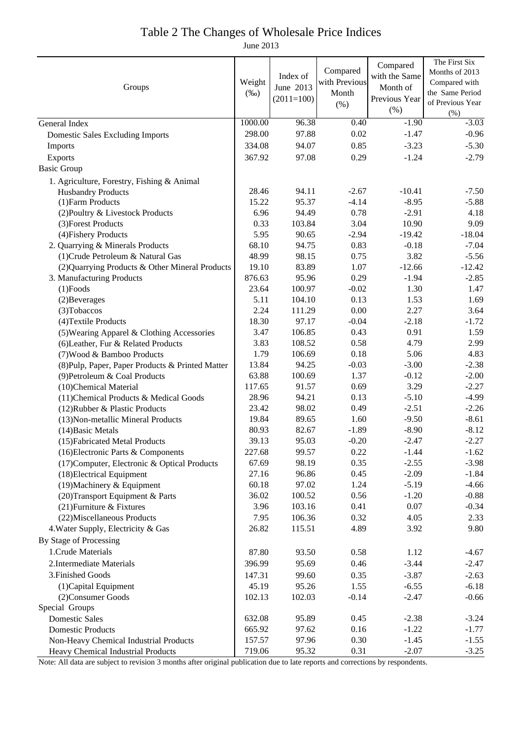#### Table 2 The Changes of Wholesale Price Indices

June 2013

|                                                  |         |              |               | Compared      | The First Six    |
|--------------------------------------------------|---------|--------------|---------------|---------------|------------------|
| Groups                                           |         | Index of     | Compared      | with the Same | Months of 2013   |
|                                                  |         | June 2013    | with Previous | Month of      | Compared with    |
|                                                  |         | $(2011=100)$ | Month         | Previous Year | the Same Period  |
|                                                  |         |              | (% )          | (% )          | of Previous Year |
|                                                  |         |              |               |               | (% )             |
| General Index                                    | 1000.00 | 96.38        | 0.40          | $-1.90$       | $-3.03$          |
| <b>Domestic Sales Excluding Imports</b>          | 298.00  | 97.88        | 0.02          | $-1.47$       | $-0.96$          |
| Imports                                          | 334.08  | 94.07        | 0.85          | $-3.23$       | $-5.30$          |
| Exports                                          | 367.92  | 97.08        | 0.29          | $-1.24$       | $-2.79$          |
| <b>Basic Group</b>                               |         |              |               |               |                  |
| 1. Agriculture, Forestry, Fishing & Animal       |         |              |               |               |                  |
| <b>Husbandry Products</b>                        | 28.46   | 94.11        | $-2.67$       | $-10.41$      | $-7.50$          |
| (1) Farm Products                                | 15.22   | 95.37        | $-4.14$       | $-8.95$       | $-5.88$          |
| (2) Poultry & Livestock Products                 | 6.96    | 94.49        | 0.78          | $-2.91$       | 4.18             |
| (3) Forest Products                              | 0.33    | 103.84       | 3.04          | 10.90         | 9.09             |
| (4) Fishery Products                             | 5.95    | 90.65        | $-2.94$       | $-19.42$      | $-18.04$         |
| 2. Quarrying & Minerals Products                 | 68.10   | 94.75        | 0.83          | $-0.18$       | $-7.04$          |
| (1) Crude Petroleum & Natural Gas                | 48.99   | 98.15        | 0.75          | 3.82          | $-5.56$          |
| (2) Quarrying Products & Other Mineral Products  | 19.10   | 83.89        | 1.07          | $-12.66$      | $-12.42$         |
| 3. Manufacturing Products                        | 876.63  | 95.96        | 0.29          | $-1.94$       | $-2.85$          |
| $(1)$ Foods                                      | 23.64   | 100.97       | $-0.02$       | 1.30          | 1.47             |
| (2) Beverages                                    | 5.11    | 104.10       | 0.13          | 1.53          | 1.69             |
| (3) Tobaccos                                     | 2.24    | 111.29       | $0.00\,$      | 2.27          | 3.64             |
| (4) Textile Products                             | 18.30   | 97.17        | $-0.04$       | $-2.18$       | $-1.72$          |
| (5) Wearing Apparel & Clothing Accessories       | 3.47    | 106.85       | 0.43          | 0.91          | 1.59             |
| (6) Leather, Fur & Related Products              | 3.83    | 108.52       | 0.58          | 4.79          | 2.99             |
| (7) Wood & Bamboo Products                       | 1.79    | 106.69       | 0.18          | 5.06          | 4.83             |
| (8) Pulp, Paper, Paper Products & Printed Matter | 13.84   | 94.25        | $-0.03$       | $-3.00$       | $-2.38$          |
| (9) Petroleum & Coal Products                    | 63.88   | 100.69       | 1.37          | $-0.12$       | $-2.00$          |
| (10)Chemical Material                            | 117.65  | 91.57        | 0.69          | 3.29          | $-2.27$          |
| (11) Chemical Products & Medical Goods           | 28.96   | 94.21        | 0.13          | $-5.10$       | $-4.99$          |
| (12) Rubber & Plastic Products                   | 23.42   | 98.02        | 0.49          | $-2.51$       | $-2.26$          |
| (13) Non-metallic Mineral Products               | 19.84   | 89.65        | 1.60          | $-9.50$       | $-8.61$          |
| (14) Basic Metals                                | 80.93   | 82.67        | $-1.89$       | $-8.90$       | $-8.12$          |
| (15) Fabricated Metal Products                   | 39.13   | 95.03        | $-0.20$       | $-2.47$       | $-2.27$          |
| (16) Electronic Parts & Components               | 227.68  | 99.57        | 0.22          | $-1.44$       | $-1.62$          |
| (17) Computer, Electronic & Optical Products     | 67.69   | 98.19        | 0.35          | $-2.55$       | $-3.98$          |
| (18) Electrical Equipment                        | 27.16   | 96.86        | 0.45          | $-2.09$       | $-1.84$          |
| (19) Machinery & Equipment                       | 60.18   | 97.02        | 1.24          | $-5.19$       | $-4.66$          |
| (20) Transport Equipment & Parts                 | 36.02   | 100.52       | 0.56          | $-1.20$       | $-0.88$          |
| (21) Furniture & Fixtures                        | 3.96    | 103.16       | 0.41          | 0.07          | $-0.34$          |
| (22) Miscellaneous Products                      | 7.95    | 106.36       | 0.32          | 4.05          | 2.33             |
| 4. Water Supply, Electricity & Gas               | 26.82   | 115.51       | 4.89          | 3.92          | 9.80             |
| By Stage of Processing                           |         |              |               |               |                  |
| 1. Crude Materials                               | 87.80   | 93.50        | 0.58          | 1.12          | $-4.67$          |
| 2. Intermediate Materials                        | 396.99  | 95.69        | 0.46          | $-3.44$       | $-2.47$          |
| 3. Finished Goods                                | 147.31  | 99.60        | 0.35          | $-3.87$       | $-2.63$          |
|                                                  | 45.19   | 95.26        | 1.55          | $-6.55$       | $-6.18$          |
| (1) Capital Equipment                            |         |              |               |               |                  |
| (2) Consumer Goods<br>Special Groups             | 102.13  | 102.03       | $-0.14$       | $-2.47$       | $-0.66$          |
| <b>Domestic Sales</b>                            | 632.08  | 95.89        | 0.45          | $-2.38$       | $-3.24$          |
| <b>Domestic Products</b>                         | 665.92  | 97.62        | 0.16          | $-1.22$       | $-1.77$          |
|                                                  | 157.57  | 97.96        | 0.30          | $-1.45$       | $-1.55$          |
| Non-Heavy Chemical Industrial Products           | 719.06  | 95.32        | 0.31          | $-2.07$       | $-3.25$          |
| Heavy Chemical Industrial Products               |         |              |               |               |                  |

Note: All data are subject to revision 3 months after original publication due to late reports and corrections by respondents.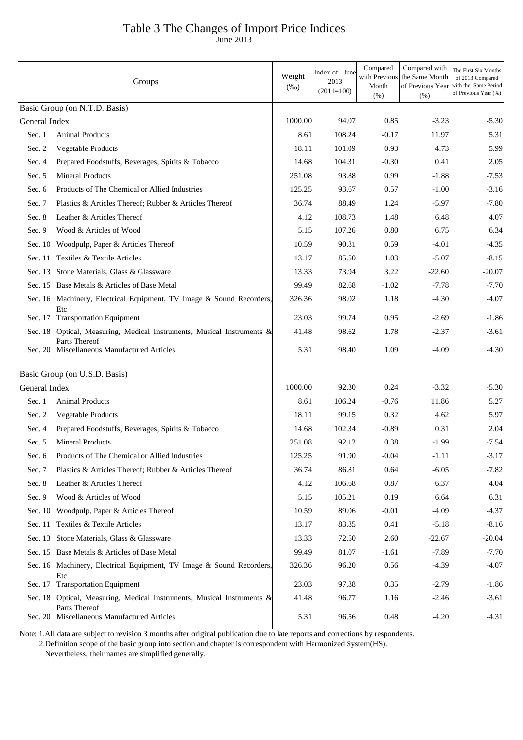## Table 3 The Changes of Import Price Indices

June 2013

|               | Groups                                                                                  | Weight<br>$(\%0)$ | Index of June<br>2013<br>$(2011=100)$ | Compared<br>with Previous<br>Month<br>(% ) | Compared with<br>the Same Month<br>of Previous Year<br>(% ) | The First Six Months<br>of 2013 Compared<br>with the Same Period<br>of Previous Year (%) |
|---------------|-----------------------------------------------------------------------------------------|-------------------|---------------------------------------|--------------------------------------------|-------------------------------------------------------------|------------------------------------------------------------------------------------------|
|               | Basic Group (on N.T.D. Basis)                                                           |                   |                                       |                                            |                                                             |                                                                                          |
| General Index |                                                                                         | 1000.00           | 94.07                                 | 0.85                                       | $-3.23$                                                     | $-5.30$                                                                                  |
| Sec. 1        | <b>Animal Products</b>                                                                  | 8.61              | 108.24                                | $-0.17$                                    | 11.97                                                       | 5.31                                                                                     |
| Sec. 2        | Vegetable Products                                                                      | 18.11             | 101.09                                | 0.93                                       | 4.73                                                        | 5.99                                                                                     |
| Sec. 4        | Prepared Foodstuffs, Beverages, Spirits & Tobacco                                       | 14.68             | 104.31                                | $-0.30$                                    | 0.41                                                        | 2.05                                                                                     |
| Sec. 5        | <b>Mineral Products</b>                                                                 | 251.08            | 93.88                                 | 0.99                                       | $-1.88$                                                     | $-7.53$                                                                                  |
| Sec. 6        | Products of The Chemical or Allied Industries                                           | 125.25            | 93.67                                 | 0.57                                       | $-1.00$                                                     | $-3.16$                                                                                  |
| Sec. 7        | Plastics & Articles Thereof; Rubber & Articles Thereof                                  | 36.74             | 88.49                                 | 1.24                                       | $-5.97$                                                     | $-7.80$                                                                                  |
| Sec. 8        | Leather & Articles Thereof                                                              | 4.12              | 108.73                                | 1.48                                       | 6.48                                                        | 4.07                                                                                     |
| Sec. 9        | Wood & Articles of Wood                                                                 | 5.15              | 107.26                                | 0.80                                       | 6.75                                                        | 6.34                                                                                     |
|               | Sec. 10 Woodpulp, Paper & Articles Thereof                                              | 10.59             | 90.81                                 | 0.59                                       | $-4.01$                                                     | $-4.35$                                                                                  |
|               | Sec. 11 Textiles & Textile Articles                                                     | 13.17             | 85.50                                 | 1.03                                       | $-5.07$                                                     | $-8.15$                                                                                  |
|               | Sec. 13 Stone Materials, Glass & Glassware                                              | 13.33             | 73.94                                 | 3.22                                       | $-22.60$                                                    | $-20.07$                                                                                 |
|               | Sec. 15 Base Metals & Articles of Base Metal                                            | 99.49             | 82.68                                 | $-1.02$                                    | $-7.78$                                                     | $-7.70$                                                                                  |
|               | Sec. 16 Machinery, Electrical Equipment, TV Image & Sound Recorders,                    | 326.36            | 98.02                                 | 1.18                                       | $-4.30$                                                     | $-4.07$                                                                                  |
|               | Etc<br>Sec. 17 Transportation Equipment                                                 | 23.03             | 99.74                                 | 0.95                                       | $-2.69$                                                     | $-1.86$                                                                                  |
|               | Sec. 18 Optical, Measuring, Medical Instruments, Musical Instruments &                  | 41.48             | 98.62                                 | 1.78                                       | $-2.37$                                                     | $-3.61$                                                                                  |
|               | Parts Thereof<br>Sec. 20 Miscellaneous Manufactured Articles                            | 5.31              | 98.40                                 | 1.09                                       | $-4.09$                                                     | $-4.30$                                                                                  |
|               | Basic Group (on U.S.D. Basis)                                                           |                   |                                       |                                            |                                                             |                                                                                          |
| General Index |                                                                                         | 1000.00           | 92.30                                 | 0.24                                       | $-3.32$                                                     | $-5.30$                                                                                  |
| Sec. 1        | <b>Animal Products</b>                                                                  | 8.61              | 106.24                                | $-0.76$                                    | 11.86                                                       | 5.27                                                                                     |
| Sec. 2        | Vegetable Products                                                                      | 18.11             | 99.15                                 | 0.32                                       | 4.62                                                        | 5.97                                                                                     |
| Sec. 4        | Prepared Foodstuffs, Beverages, Spirits & Tobacco                                       | 14.68             | 102.34                                | $-0.89$                                    | 0.31                                                        | 2.04                                                                                     |
| Sec. 5        | <b>Mineral Products</b>                                                                 | 251.08            | 92.12                                 | 0.38                                       | -1.99                                                       | $-7.54$                                                                                  |
| Sec. 6        | Products of The Chemical or Allied Industries                                           | 125.25            | 91.90                                 | $-0.04$                                    | $-1.11$                                                     | $-3.17$                                                                                  |
| Sec. 7        | Plastics & Articles Thereof; Rubber & Articles Thereof                                  | 36.74             | 86.81                                 | 0.64                                       | $-6.05$                                                     | $-7.82$                                                                                  |
| Sec. 8        | Leather & Articles Thereof                                                              | 4.12              | 106.68                                | 0.87                                       | 6.37                                                        | 4.04                                                                                     |
| Sec. 9        | Wood & Articles of Wood                                                                 | 5.15              | 105.21                                | 0.19                                       | 6.64                                                        | 6.31                                                                                     |
|               | Sec. 10 Woodpulp, Paper & Articles Thereof                                              | 10.59             | 89.06                                 | $-0.01$                                    | $-4.09$                                                     | $-4.37$                                                                                  |
|               | Sec. 11 Textiles & Textile Articles                                                     | 13.17             | 83.85                                 | 0.41                                       | $-5.18$                                                     | $-8.16$                                                                                  |
|               | Sec. 13 Stone Materials, Glass & Glassware                                              | 13.33             | 72.50                                 | 2.60                                       | $-22.67$                                                    | $-20.04$                                                                                 |
|               | Sec. 15 Base Metals & Articles of Base Metal                                            | 99.49             | 81.07                                 | $-1.61$                                    | $-7.89$                                                     | $-7.70$                                                                                  |
|               | Sec. 16 Machinery, Electrical Equipment, TV Image & Sound Recorders,<br>Etc             | 326.36            | 96.20                                 | 0.56                                       | $-4.39$                                                     | $-4.07$                                                                                  |
|               | Sec. 17 Transportation Equipment                                                        | 23.03             | 97.88                                 | 0.35                                       | $-2.79$                                                     | $-1.86$                                                                                  |
|               | Sec. 18 Optical, Measuring, Medical Instruments, Musical Instruments &<br>Parts Thereof | 41.48             | 96.77                                 | 1.16                                       | $-2.46$                                                     | $-3.61$                                                                                  |
|               | Sec. 20 Miscellaneous Manufactured Articles                                             | 5.31              | 96.56                                 | 0.48                                       | $-4.20$                                                     | $-4.31$                                                                                  |

Note: 1.All data are subject to revision 3 months after original publication due to late reports and corrections by respondents.

 2.Definition scope of the basic group into section and chapter is correspondent with Harmonized System(HS). Nevertheless, their names are simplified generally.